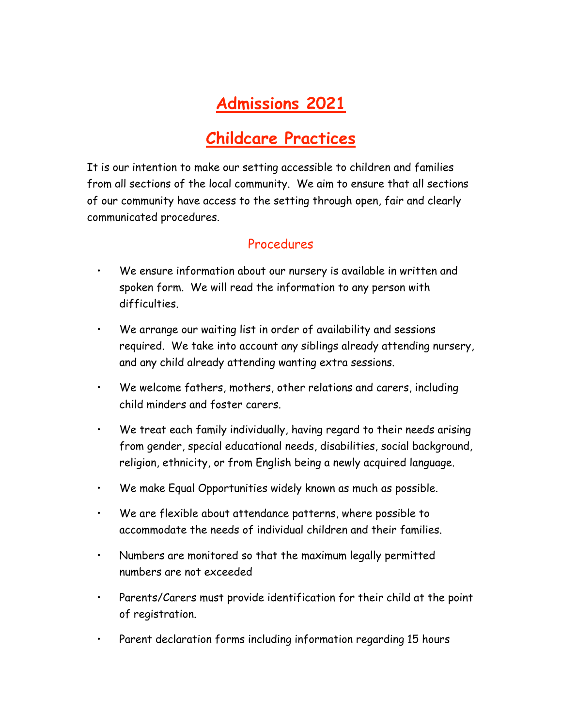# **Admissions 2021**

## **Childcare Practices**

It is our intention to make our setting accessible to children and families from all sections of the local community. We aim to ensure that all sections of our community have access to the setting through open, fair and clearly communicated procedures.

#### Procedures

- We ensure information about our nursery is available in written and spoken form. We will read the information to any person with difficulties.
- We arrange our waiting list in order of availability and sessions required. We take into account any siblings already attending nursery, and any child already attending wanting extra sessions.
- We welcome fathers, mothers, other relations and carers, including child minders and foster carers.
- We treat each family individually, having regard to their needs arising from gender, special educational needs, disabilities, social background, religion, ethnicity, or from English being a newly acquired language.
- We make Equal Opportunities widely known as much as possible.
- We are flexible about attendance patterns, where possible to accommodate the needs of individual children and their families.
- Numbers are monitored so that the maximum legally permitted numbers are not exceeded
- Parents/Carers must provide identification for their child at the point of registration.
- Parent declaration forms including information regarding 15 hours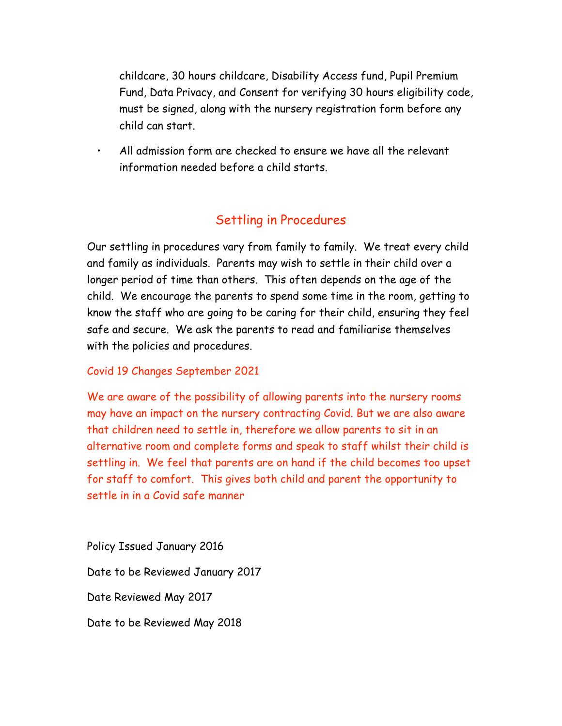childcare, 30 hours childcare, Disability Access fund, Pupil Premium Fund, Data Privacy, and Consent for verifying 30 hours eligibility code, must be signed, along with the nursery registration form before any child can start.

• All admission form are checked to ensure we have all the relevant information needed before a child starts.

### Settling in Procedures

Our settling in procedures vary from family to family. We treat every child and family as individuals. Parents may wish to settle in their child over a longer period of time than others. This often depends on the age of the child. We encourage the parents to spend some time in the room, getting to know the staff who are going to be caring for their child, ensuring they feel safe and secure. We ask the parents to read and familiarise themselves with the policies and procedures.

#### Covid 19 Changes September 2021

We are aware of the possibility of allowing parents into the nursery rooms may have an impact on the nursery contracting Covid. But we are also aware that children need to settle in, therefore we allow parents to sit in an alternative room and complete forms and speak to staff whilst their child is settling in. We feel that parents are on hand if the child becomes too upset for staff to comfort. This gives both child and parent the opportunity to settle in in a Covid safe manner

Policy Issued January 2016 Date to be Reviewed January 2017 Date Reviewed May 2017 Date to be Reviewed May 2018